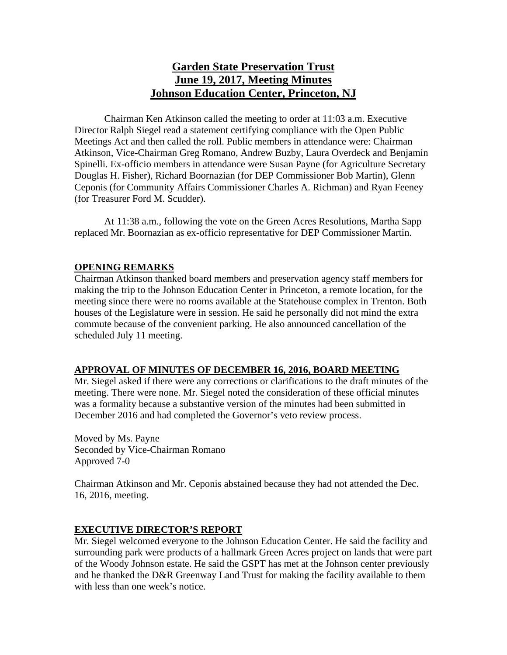# **Garden State Preservation Trust June 19, 2017, Meeting Minutes Johnson Education Center, Princeton, NJ**

Chairman Ken Atkinson called the meeting to order at 11:03 a.m. Executive Director Ralph Siegel read a statement certifying compliance with the Open Public Meetings Act and then called the roll. Public members in attendance were: Chairman Atkinson, Vice-Chairman Greg Romano, Andrew Buzby, Laura Overdeck and Benjamin Spinelli. Ex-officio members in attendance were Susan Payne (for Agriculture Secretary Douglas H. Fisher), Richard Boornazian (for DEP Commissioner Bob Martin), Glenn Ceponis (for Community Affairs Commissioner Charles A. Richman) and Ryan Feeney (for Treasurer Ford M. Scudder).

At 11:38 a.m., following the vote on the Green Acres Resolutions, Martha Sapp replaced Mr. Boornazian as ex-officio representative for DEP Commissioner Martin.

### **OPENING REMARKS**

Chairman Atkinson thanked board members and preservation agency staff members for making the trip to the Johnson Education Center in Princeton, a remote location, for the meeting since there were no rooms available at the Statehouse complex in Trenton. Both houses of the Legislature were in session. He said he personally did not mind the extra commute because of the convenient parking. He also announced cancellation of the scheduled July 11 meeting.

#### **APPROVAL OF MINUTES OF DECEMBER 16, 2016, BOARD MEETING**

Mr. Siegel asked if there were any corrections or clarifications to the draft minutes of the meeting. There were none. Mr. Siegel noted the consideration of these official minutes was a formality because a substantive version of the minutes had been submitted in December 2016 and had completed the Governor's veto review process.

Moved by Ms. Payne Seconded by Vice-Chairman Romano Approved 7-0

Chairman Atkinson and Mr. Ceponis abstained because they had not attended the Dec. 16, 2016, meeting.

#### **EXECUTIVE DIRECTOR'S REPORT**

Mr. Siegel welcomed everyone to the Johnson Education Center. He said the facility and surrounding park were products of a hallmark Green Acres project on lands that were part of the Woody Johnson estate. He said the GSPT has met at the Johnson center previously and he thanked the D&R Greenway Land Trust for making the facility available to them with less than one week's notice.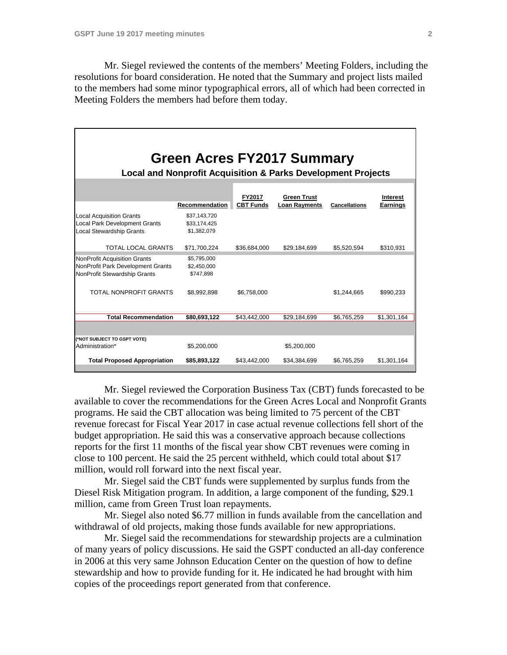Mr. Siegel reviewed the contents of the members' Meeting Folders, including the resolutions for board consideration. He noted that the Summary and project lists mailed to the members had some minor typographical errors, all of which had been corrected in Meeting Folders the members had before them today.

| Green Acres FY2017 Summary<br><b>Local and Nonprofit Acquisition &amp; Parks Development Projects</b>      |                                             |                                   |                                            |                      |                             |
|------------------------------------------------------------------------------------------------------------|---------------------------------------------|-----------------------------------|--------------------------------------------|----------------------|-----------------------------|
|                                                                                                            |                                             |                                   |                                            |                      |                             |
|                                                                                                            | Recommendation                              | <b>FY2017</b><br><b>CBT Funds</b> | <b>Green Trust</b><br><b>Loan Rayments</b> | <b>Cancellations</b> | Interest<br><b>Earnings</b> |
| <b>Local Acquisition Grants</b><br><b>Local Park Development Grants</b><br><b>Local Stewardship Grants</b> | \$37,143,720<br>\$33,174,425<br>\$1,382,079 |                                   |                                            |                      |                             |
| <b>TOTAL LOCAL GRANTS</b>                                                                                  | \$71,700,224                                | \$36,684,000                      | \$29,184,699                               | \$5,520,594          | \$310,931                   |
| <b>NonProfit Acquisition Grants</b><br>NonProfit Park Development Grants<br>NonProfit Stewardship Grants   | \$5,795,000<br>\$2,450,000<br>\$747.898     |                                   |                                            |                      |                             |
| TOTAL NONPROFIT GRANTS                                                                                     | \$8,992,898                                 | \$6,758,000                       |                                            | \$1,244,665          | \$990,233                   |
| <b>Total Recommendation</b>                                                                                | \$80,693,122                                | \$43,442,000                      | \$29,184,699                               | \$6,765,259          | \$1,301,164                 |
|                                                                                                            |                                             |                                   |                                            |                      |                             |
| (*NOT SUBJECT TO GSPT VOTE)<br>Administration*                                                             | \$5,200,000                                 |                                   | \$5,200,000                                |                      |                             |
| <b>Total Proposed Appropriation</b>                                                                        | \$85,893,122                                | \$43,442,000                      | \$34,384,699                               | \$6,765,259          | \$1,301,164                 |

 Mr. Siegel reviewed the Corporation Business Tax (CBT) funds forecasted to be available to cover the recommendations for the Green Acres Local and Nonprofit Grants programs. He said the CBT allocation was being limited to 75 percent of the CBT revenue forecast for Fiscal Year 2017 in case actual revenue collections fell short of the budget appropriation. He said this was a conservative approach because collections reports for the first 11 months of the fiscal year show CBT revenues were coming in close to 100 percent. He said the 25 percent withheld, which could total about \$17 million, would roll forward into the next fiscal year.

 Mr. Siegel said the CBT funds were supplemented by surplus funds from the Diesel Risk Mitigation program. In addition, a large component of the funding, \$29.1 million, came from Green Trust loan repayments.

 Mr. Siegel also noted \$6.77 million in funds available from the cancellation and withdrawal of old projects, making those funds available for new appropriations.

 Mr. Siegel said the recommendations for stewardship projects are a culmination of many years of policy discussions. He said the GSPT conducted an all-day conference in 2006 at this very same Johnson Education Center on the question of how to define stewardship and how to provide funding for it. He indicated he had brought with him copies of the proceedings report generated from that conference.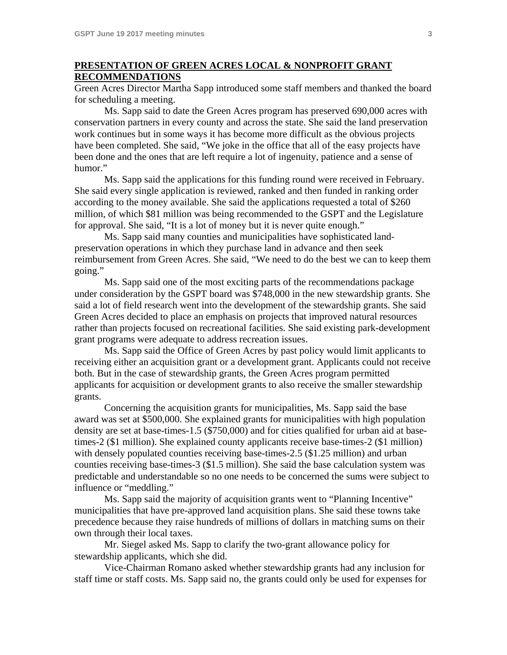### **PRESENTATION OF GREEN ACRES LOCAL & NONPROFIT GRANT RECOMMENDATIONS**

Green Acres Director Martha Sapp introduced some staff members and thanked the board for scheduling a meeting.

 Ms. Sapp said to date the Green Acres program has preserved 690,000 acres with conservation partners in every county and across the state. She said the land preservation work continues but in some ways it has become more difficult as the obvious projects have been completed. She said, "We joke in the office that all of the easy projects have been done and the ones that are left require a lot of ingenuity, patience and a sense of humor."

 Ms. Sapp said the applications for this funding round were received in February. She said every single application is reviewed, ranked and then funded in ranking order according to the money available. She said the applications requested a total of \$260 million, of which \$81 million was being recommended to the GSPT and the Legislature for approval. She said, "It is a lot of money but it is never quite enough."

 Ms. Sapp said many counties and municipalities have sophisticated landpreservation operations in which they purchase land in advance and then seek reimbursement from Green Acres. She said, "We need to do the best we can to keep them going."

 Ms. Sapp said one of the most exciting parts of the recommendations package under consideration by the GSPT board was \$748,000 in the new stewardship grants. She said a lot of field research went into the development of the stewardship grants. She said Green Acres decided to place an emphasis on projects that improved natural resources rather than projects focused on recreational facilities. She said existing park-development grant programs were adequate to address recreation issues.

 Ms. Sapp said the Office of Green Acres by past policy would limit applicants to receiving either an acquisition grant or a development grant. Applicants could not receive both. But in the case of stewardship grants, the Green Acres program permitted applicants for acquisition or development grants to also receive the smaller stewardship grants.

 Concerning the acquisition grants for municipalities, Ms. Sapp said the base award was set at \$500,000. She explained grants for municipalities with high population density are set at base-times-1.5 (\$750,000) and for cities qualified for urban aid at basetimes-2 (\$1 million). She explained county applicants receive base-times-2 (\$1 million) with densely populated counties receiving base-times-2.5 (\$1.25 million) and urban counties receiving base-times-3 (\$1.5 million). She said the base calculation system was predictable and understandable so no one needs to be concerned the sums were subject to influence or "meddling."

 Ms. Sapp said the majority of acquisition grants went to "Planning Incentive" municipalities that have pre-approved land acquisition plans. She said these towns take precedence because they raise hundreds of millions of dollars in matching sums on their own through their local taxes.

 Mr. Siegel asked Ms. Sapp to clarify the two-grant allowance policy for stewardship applicants, which she did.

 Vice-Chairman Romano asked whether stewardship grants had any inclusion for staff time or staff costs. Ms. Sapp said no, the grants could only be used for expenses for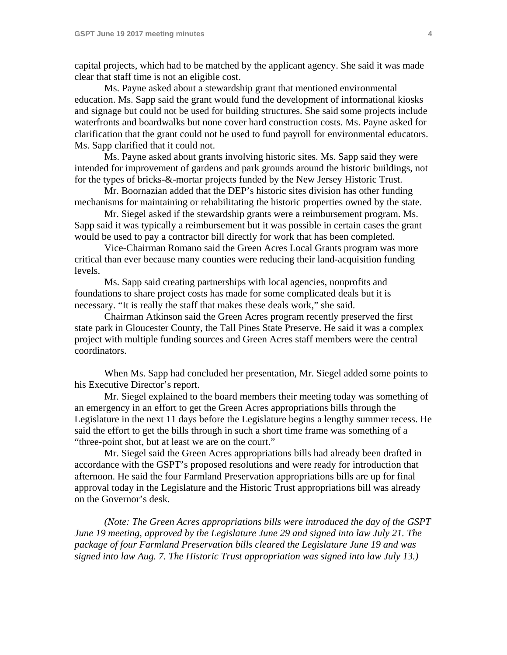capital projects, which had to be matched by the applicant agency. She said it was made clear that staff time is not an eligible cost.

 Ms. Payne asked about a stewardship grant that mentioned environmental education. Ms. Sapp said the grant would fund the development of informational kiosks and signage but could not be used for building structures. She said some projects include waterfronts and boardwalks but none cover hard construction costs. Ms. Payne asked for clarification that the grant could not be used to fund payroll for environmental educators. Ms. Sapp clarified that it could not.

 Ms. Payne asked about grants involving historic sites. Ms. Sapp said they were intended for improvement of gardens and park grounds around the historic buildings, not for the types of bricks-&-mortar projects funded by the New Jersey Historic Trust.

 Mr. Boornazian added that the DEP's historic sites division has other funding mechanisms for maintaining or rehabilitating the historic properties owned by the state.

 Mr. Siegel asked if the stewardship grants were a reimbursement program. Ms. Sapp said it was typically a reimbursement but it was possible in certain cases the grant would be used to pay a contractor bill directly for work that has been completed.

 Vice-Chairman Romano said the Green Acres Local Grants program was more critical than ever because many counties were reducing their land-acquisition funding levels.

 Ms. Sapp said creating partnerships with local agencies, nonprofits and foundations to share project costs has made for some complicated deals but it is necessary. "It is really the staff that makes these deals work," she said.

 Chairman Atkinson said the Green Acres program recently preserved the first state park in Gloucester County, the Tall Pines State Preserve. He said it was a complex project with multiple funding sources and Green Acres staff members were the central coordinators.

 When Ms. Sapp had concluded her presentation, Mr. Siegel added some points to his Executive Director's report.

 Mr. Siegel explained to the board members their meeting today was something of an emergency in an effort to get the Green Acres appropriations bills through the Legislature in the next 11 days before the Legislature begins a lengthy summer recess. He said the effort to get the bills through in such a short time frame was something of a "three-point shot, but at least we are on the court."

 Mr. Siegel said the Green Acres appropriations bills had already been drafted in accordance with the GSPT's proposed resolutions and were ready for introduction that afternoon. He said the four Farmland Preservation appropriations bills are up for final approval today in the Legislature and the Historic Trust appropriations bill was already on the Governor's desk.

*(Note: The Green Acres appropriations bills were introduced the day of the GSPT June 19 meeting, approved by the Legislature June 29 and signed into law July 21. The package of four Farmland Preservation bills cleared the Legislature June 19 and was signed into law Aug. 7. The Historic Trust appropriation was signed into law July 13.)*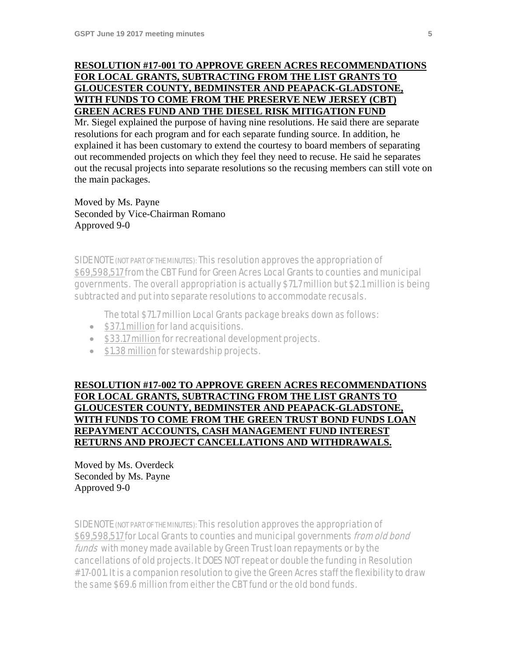# **RESOLUTION #17-001 TO APPROVE GREEN ACRES RECOMMENDATIONS FOR LOCAL GRANTS, SUBTRACTING FROM THE LIST GRANTS TO GLOUCESTER COUNTY, BEDMINSTER AND PEAPACK-GLADSTONE, WITH FUNDS TO COME FROM THE PRESERVE NEW JERSEY (CBT) GREEN ACRES FUND AND THE DIESEL RISK MITIGATION FUND**

Mr. Siegel explained the purpose of having nine resolutions. He said there are separate resolutions for each program and for each separate funding source. In addition, he explained it has been customary to extend the courtesy to board members of separating out recommended projects on which they feel they need to recuse. He said he separates out the recusal projects into separate resolutions so the recusing members can still vote on the main packages.

Moved by Ms. Payne Seconded by Vice-Chairman Romano Approved 9-0

SIDE NOTE (NOT PART OF THE MINUTES): This resolution approves the appropriation of \$69,598,517 from the CBT Fund for Green Acres Local Grants to counties and municipal governments. The overall appropriation is actually \$71.7 million but \$2.1 million is being subtracted and put into separate resolutions to accommodate recusals.

The total \$71.7 million Local Grants package breaks down as follows:

- \$37.1 million for land acquisitions.
- \$33.17 million for recreational development projects.
- \$1.38 million for stewardship projects.

**RESOLUTION #17-002 TO APPROVE GREEN ACRES RECOMMENDATIONS FOR LOCAL GRANTS, SUBTRACTING FROM THE LIST GRANTS TO GLOUCESTER COUNTY, BEDMINSTER AND PEAPACK-GLADSTONE, WITH FUNDS TO COME FROM THE GREEN TRUST BOND FUNDS LOAN REPAYMENT ACCOUNTS, CASH MANAGEMENT FUND INTEREST RETURNS AND PROJECT CANCELLATIONS AND WITHDRAWALS.** 

Moved by Ms. Overdeck Seconded by Ms. Payne Approved 9-0

SIDE NOTE (NOT PART OF THE MINUTES): This resolution approves the appropriation of \$69,598,517 for Local Grants to counties and municipal governments from old bond funds with money made available by Green Trust loan repayments or by the cancellations of old projects. It DOES NOT repeat or double the funding in Resolution #17-001. It is a companion resolution to give the Green Acres staff the flexibility to draw the same \$69.6 million from either the CBT fund or the old bond funds.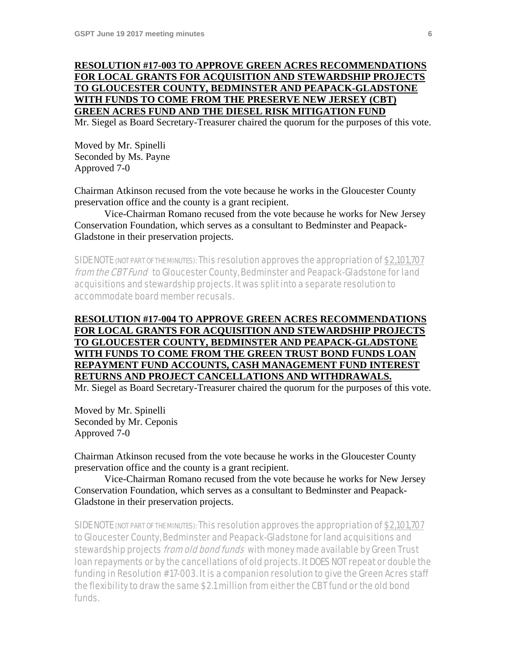# **RESOLUTION #17-003 TO APPROVE GREEN ACRES RECOMMENDATIONS FOR LOCAL GRANTS FOR ACQUISITION AND STEWARDSHIP PROJECTS TO GLOUCESTER COUNTY, BEDMINSTER AND PEAPACK-GLADSTONE WITH FUNDS TO COME FROM THE PRESERVE NEW JERSEY (CBT) GREEN ACRES FUND AND THE DIESEL RISK MITIGATION FUND**

Mr. Siegel as Board Secretary-Treasurer chaired the quorum for the purposes of this vote.

Moved by Mr. Spinelli Seconded by Ms. Payne Approved 7-0

Chairman Atkinson recused from the vote because he works in the Gloucester County preservation office and the county is a grant recipient.

 Vice-Chairman Romano recused from the vote because he works for New Jersey Conservation Foundation, which serves as a consultant to Bedminster and Peapack-Gladstone in their preservation projects.

SIDE NOTE (NOT PART OF THE MINUTES): This resolution approves the appropriation of \$2,101,707 from the CBT Fund to Gloucester County, Bedminster and Peapack-Gladstone for land acquisitions and stewardship projects. It was split into a separate resolution to accommodate board member recusals.

# **RESOLUTION #17-004 TO APPROVE GREEN ACRES RECOMMENDATIONS FOR LOCAL GRANTS FOR ACQUISITION AND STEWARDSHIP PROJECTS TO GLOUCESTER COUNTY, BEDMINSTER AND PEAPACK-GLADSTONE WITH FUNDS TO COME FROM THE GREEN TRUST BOND FUNDS LOAN REPAYMENT FUND ACCOUNTS, CASH MANAGEMENT FUND INTEREST RETURNS AND PROJECT CANCELLATIONS AND WITHDRAWALS.**

Mr. Siegel as Board Secretary-Treasurer chaired the quorum for the purposes of this vote.

Moved by Mr. Spinelli Seconded by Mr. Ceponis Approved 7-0

Chairman Atkinson recused from the vote because he works in the Gloucester County preservation office and the county is a grant recipient.

 Vice-Chairman Romano recused from the vote because he works for New Jersey Conservation Foundation, which serves as a consultant to Bedminster and Peapack-Gladstone in their preservation projects.

SIDE NOTE (NOT PART OF THE MINUTES): This resolution approves the appropriation of \$2,101,707 to Gloucester County, Bedminster and Peapack-Gladstone for land acquisitions and stewardship projects *from old bond funds* with money made available by Green Trust loan repayments or by the cancellations of old projects. It DOES NOT repeat or double the funding in Resolution #17-003. It is a companion resolution to give the Green Acres staff the flexibility to draw the same \$2.1 million from either the CBT fund or the old bond funds.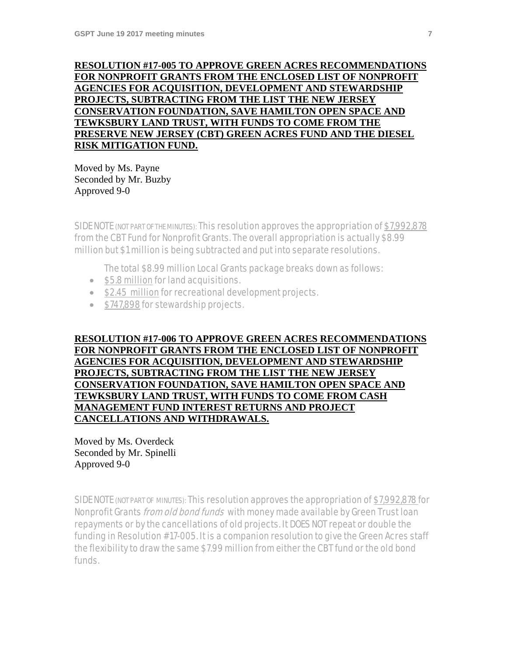# **RESOLUTION #17-005 TO APPROVE GREEN ACRES RECOMMENDATIONS FOR NONPROFIT GRANTS FROM THE ENCLOSED LIST OF NONPROFIT AGENCIES FOR ACQUISITION, DEVELOPMENT AND STEWARDSHIP PROJECTS, SUBTRACTING FROM THE LIST THE NEW JERSEY CONSERVATION FOUNDATION, SAVE HAMILTON OPEN SPACE AND TEWKSBURY LAND TRUST, WITH FUNDS TO COME FROM THE PRESERVE NEW JERSEY (CBT) GREEN ACRES FUND AND THE DIESEL RISK MITIGATION FUND.**

Moved by Ms. Payne Seconded by Mr. Buzby Approved 9-0

SIDE NOTE (NOT PART OF THE MINUTES): This resolution approves the appropriation of \$7,992,878 from the CBT Fund for Nonprofit Grants. The overall appropriation is actually \$8.99 million but \$1 million is being subtracted and put into separate resolutions.

The total \$8.99 million Local Grants package breaks down as follows:

- \$5.8 million for land acquisitions.
- \$2.45 million for recreational development projects.
- \$747,898 for stewardship projects.

**RESOLUTION #17-006 TO APPROVE GREEN ACRES RECOMMENDATIONS FOR NONPROFIT GRANTS FROM THE ENCLOSED LIST OF NONPROFIT AGENCIES FOR ACQUISITION, DEVELOPMENT AND STEWARDSHIP PROJECTS, SUBTRACTING FROM THE LIST THE NEW JERSEY CONSERVATION FOUNDATION, SAVE HAMILTON OPEN SPACE AND TEWKSBURY LAND TRUST, WITH FUNDS TO COME FROM CASH MANAGEMENT FUND INTEREST RETURNS AND PROJECT CANCELLATIONS AND WITHDRAWALS.** 

Moved by Ms. Overdeck Seconded by Mr. Spinelli Approved 9-0

SIDE NOTE (NOT PART OF MINUTES): This resolution approves the appropriation of \$7,992,878 for Nonprofit Grants *from old bond funds* with money made available by Green Trust loan repayments or by the cancellations of old projects. It DOES NOT repeat or double the funding in Resolution #17-005. It is a companion resolution to give the Green Acres staff the flexibility to draw the same \$7.99 million from either the CBT fund or the old bond funds.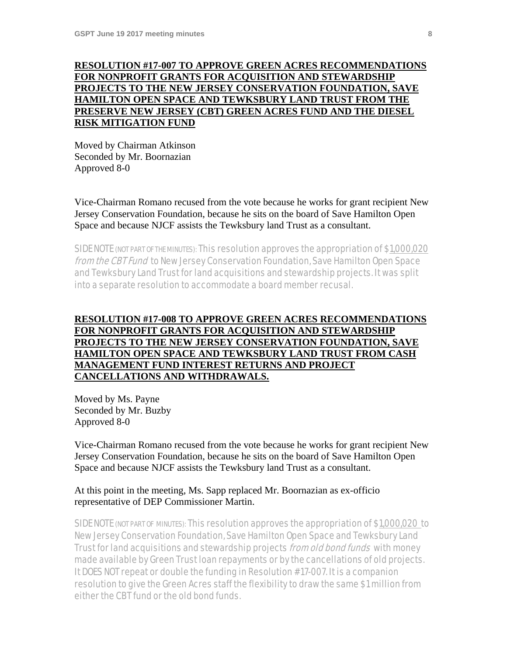### **RESOLUTION #17-007 TO APPROVE GREEN ACRES RECOMMENDATIONS FOR NONPROFIT GRANTS FOR ACQUISITION AND STEWARDSHIP PROJECTS TO THE NEW JERSEY CONSERVATION FOUNDATION, SAVE HAMILTON OPEN SPACE AND TEWKSBURY LAND TRUST FROM THE PRESERVE NEW JERSEY (CBT) GREEN ACRES FUND AND THE DIESEL RISK MITIGATION FUND**

Moved by Chairman Atkinson Seconded by Mr. Boornazian Approved 8-0

Vice-Chairman Romano recused from the vote because he works for grant recipient New Jersey Conservation Foundation, because he sits on the board of Save Hamilton Open Space and because NJCF assists the Tewksbury land Trust as a consultant.

SIDE NOTE (NOT PART OF THE MINUTES): This resolution approves the appropriation of \$1,000,020 from the CBT Fund to New Jersey Conservation Foundation, Save Hamilton Open Space and Tewksbury Land Trust for land acquisitions and stewardship projects. It was split into a separate resolution to accommodate a board member recusal.

### **RESOLUTION #17-008 TO APPROVE GREEN ACRES RECOMMENDATIONS FOR NONPROFIT GRANTS FOR ACQUISITION AND STEWARDSHIP PROJECTS TO THE NEW JERSEY CONSERVATION FOUNDATION, SAVE HAMILTON OPEN SPACE AND TEWKSBURY LAND TRUST FROM CASH MANAGEMENT FUND INTEREST RETURNS AND PROJECT CANCELLATIONS AND WITHDRAWALS.**

Moved by Ms. Payne Seconded by Mr. Buzby Approved 8-0

Vice-Chairman Romano recused from the vote because he works for grant recipient New Jersey Conservation Foundation, because he sits on the board of Save Hamilton Open Space and because NJCF assists the Tewksbury land Trust as a consultant.

### At this point in the meeting, Ms. Sapp replaced Mr. Boornazian as ex-officio representative of DEP Commissioner Martin.

SIDE NOTE (NOT PART OF MINUTES): This resolution approves the appropriation of \$1,000,020 to New Jersey Conservation Foundation, Save Hamilton Open Space and Tewksbury Land Trust for land acquisitions and stewardship projects *from old bond funds* with money made available by Green Trust loan repayments or by the cancellations of old projects. It DOES NOT repeat or double the funding in Resolution #17-007. It is a companion resolution to give the Green Acres staff the flexibility to draw the same \$1 million from either the CBT fund or the old bond funds.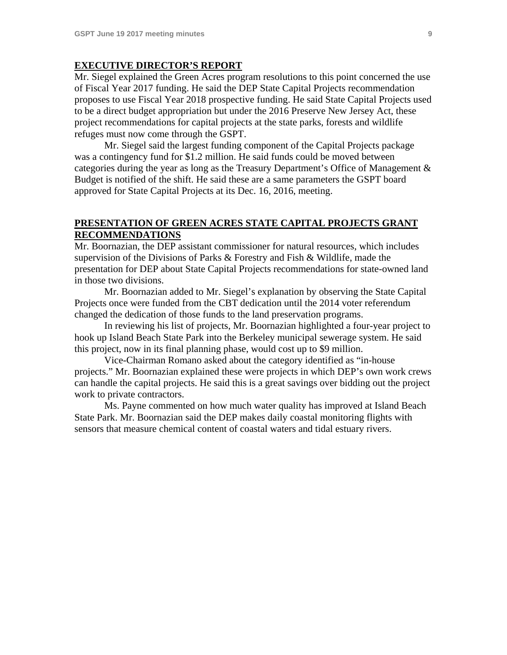#### **EXECUTIVE DIRECTOR'S REPORT**

Mr. Siegel explained the Green Acres program resolutions to this point concerned the use of Fiscal Year 2017 funding. He said the DEP State Capital Projects recommendation proposes to use Fiscal Year 2018 prospective funding. He said State Capital Projects used to be a direct budget appropriation but under the 2016 Preserve New Jersey Act, these project recommendations for capital projects at the state parks, forests and wildlife refuges must now come through the GSPT.

 Mr. Siegel said the largest funding component of the Capital Projects package was a contingency fund for \$1.2 million. He said funds could be moved between categories during the year as long as the Treasury Department's Office of Management & Budget is notified of the shift. He said these are a same parameters the GSPT board approved for State Capital Projects at its Dec. 16, 2016, meeting.

### **PRESENTATION OF GREEN ACRES STATE CAPITAL PROJECTS GRANT RECOMMENDATIONS**

Mr. Boornazian, the DEP assistant commissioner for natural resources, which includes supervision of the Divisions of Parks & Forestry and Fish & Wildlife, made the presentation for DEP about State Capital Projects recommendations for state-owned land in those two divisions.

 Mr. Boornazian added to Mr. Siegel's explanation by observing the State Capital Projects once were funded from the CBT dedication until the 2014 voter referendum changed the dedication of those funds to the land preservation programs.

 In reviewing his list of projects, Mr. Boornazian highlighted a four-year project to hook up Island Beach State Park into the Berkeley municipal sewerage system. He said this project, now in its final planning phase, would cost up to \$9 million.

 Vice-Chairman Romano asked about the category identified as "in-house projects." Mr. Boornazian explained these were projects in which DEP's own work crews can handle the capital projects. He said this is a great savings over bidding out the project work to private contractors.

 Ms. Payne commented on how much water quality has improved at Island Beach State Park. Mr. Boornazian said the DEP makes daily coastal monitoring flights with sensors that measure chemical content of coastal waters and tidal estuary rivers.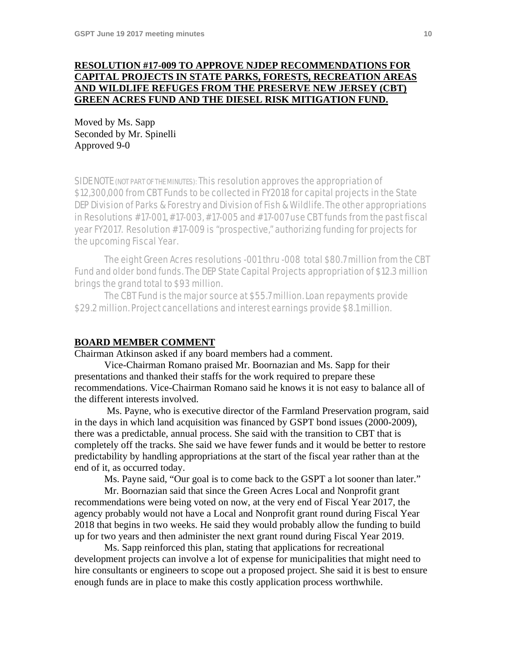### **RESOLUTION #17-009 TO APPROVE NJDEP RECOMMENDATIONS FOR CAPITAL PROJECTS IN STATE PARKS, FORESTS, RECREATION AREAS AND WILDLIFE REFUGES FROM THE PRESERVE NEW JERSEY (CBT) GREEN ACRES FUND AND THE DIESEL RISK MITIGATION FUND.**

Moved by Ms. Sapp Seconded by Mr. Spinelli Approved 9-0

SIDE NOTE (NOT PART OF THE MINUTES): This resolution approves the appropriation of \$12,300,000 from CBT Funds to be collected in FY2018 for capital projects in the State DEP Division of Parks & Forestry and Division of Fish & Wildlife. The other appropriations in Resolutions #17-001, #17-003, #17-005 and #17-007 use CBT funds from the past fiscal year FY2017. Resolution #17-009 is "prospective," authorizing funding for projects for the upcoming Fiscal Year.

 The eight Green Acres resolutions -001 thru -008 total \$80.7 million from the CBT Fund and older bond funds. The DEP State Capital Projects appropriation of \$12.3 million brings the grand total to \$93 million.

 The CBT Fund is the major source at \$55.7 million. Loan repayments provide \$29.2 million. Project cancellations and interest earnings provide \$8.1 million.

#### **BOARD MEMBER COMMENT**

Chairman Atkinson asked if any board members had a comment.

 Vice-Chairman Romano praised Mr. Boornazian and Ms. Sapp for their presentations and thanked their staffs for the work required to prepare these recommendations. Vice-Chairman Romano said he knows it is not easy to balance all of the different interests involved.

 Ms. Payne, who is executive director of the Farmland Preservation program, said in the days in which land acquisition was financed by GSPT bond issues (2000-2009), there was a predictable, annual process. She said with the transition to CBT that is completely off the tracks. She said we have fewer funds and it would be better to restore predictability by handling appropriations at the start of the fiscal year rather than at the end of it, as occurred today.

Ms. Payne said, "Our goal is to come back to the GSPT a lot sooner than later."

 Mr. Boornazian said that since the Green Acres Local and Nonprofit grant recommendations were being voted on now, at the very end of Fiscal Year 2017, the agency probably would not have a Local and Nonprofit grant round during Fiscal Year 2018 that begins in two weeks. He said they would probably allow the funding to build up for two years and then administer the next grant round during Fiscal Year 2019.

 Ms. Sapp reinforced this plan, stating that applications for recreational development projects can involve a lot of expense for municipalities that might need to hire consultants or engineers to scope out a proposed project. She said it is best to ensure enough funds are in place to make this costly application process worthwhile.